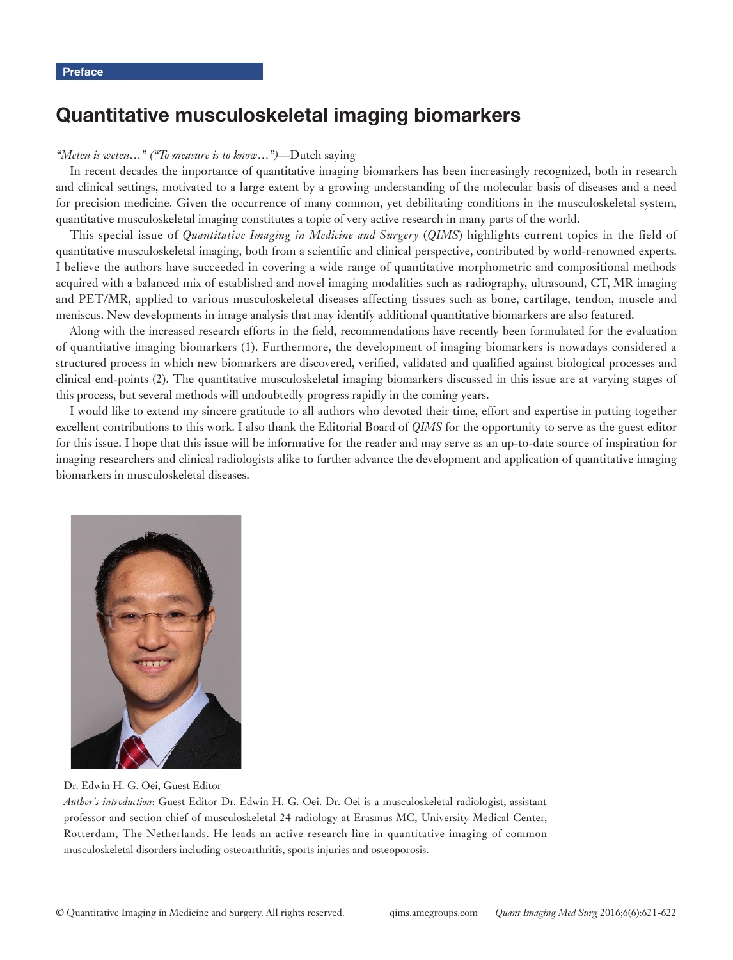# Quantitative musculoskeletal imaging biomarkers

#### *"Meten is weten…" ("To measure is to know…")*—Dutch saying

In recent decades the importance of quantitative imaging biomarkers has been increasingly recognized, both in research and clinical settings, motivated to a large extent by a growing understanding of the molecular basis of diseases and a need for precision medicine. Given the occurrence of many common, yet debilitating conditions in the musculoskeletal system, quantitative musculoskeletal imaging constitutes a topic of very active research in many parts of the world.

This special issue of *Quantitative Imaging in Medicine and Surgery* (*QIMS*) highlights current topics in the field of quantitative musculoskeletal imaging, both from a scientific and clinical perspective, contributed by world-renowned experts. I believe the authors have succeeded in covering a wide range of quantitative morphometric and compositional methods acquired with a balanced mix of established and novel imaging modalities such as radiography, ultrasound, CT, MR imaging and PET/MR, applied to various musculoskeletal diseases affecting tissues such as bone, cartilage, tendon, muscle and meniscus. New developments in image analysis that may identify additional quantitative biomarkers are also featured.

Along with the increased research efforts in the field, recommendations have recently been formulated for the evaluation of quantitative imaging biomarkers (1). Furthermore, the development of imaging biomarkers is nowadays considered a structured process in which new biomarkers are discovered, verified, validated and qualified against biological processes and clinical end-points (2). The quantitative musculoskeletal imaging biomarkers discussed in this issue are at varying stages of this process, but several methods will undoubtedly progress rapidly in the coming years.

I would like to extend my sincere gratitude to all authors who devoted their time, effort and expertise in putting together excellent contributions to this work. I also thank the Editorial Board of *QIMS* for the opportunity to serve as the guest editor for this issue. I hope that this issue will be informative for the reader and may serve as an up-to-date source of inspiration for imaging researchers and clinical radiologists alike to further advance the development and application of quantitative imaging biomarkers in musculoskeletal diseases.



Dr. Edwin H. G. Oei, Guest Editor

*Author's introduction*: Guest Editor Dr. Edwin H. G. Oei. Dr. Oei is a musculoskeletal radiologist, assistant professor and section chief of musculoskeletal 24 radiology at Erasmus MC, University Medical Center, Rotterdam, The Netherlands. He leads an active research line in quantitative imaging of common musculoskeletal disorders including osteoarthritis, sports injuries and osteoporosis.